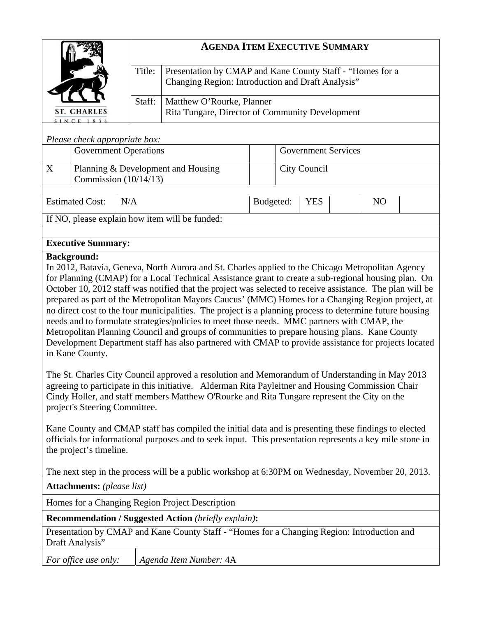|                               | <b>AGENDA ITEM EXECUTIVE SUMMARY</b> |                                                                                                                |  |  |
|-------------------------------|--------------------------------------|----------------------------------------------------------------------------------------------------------------|--|--|
| <b>ST. CHARLES</b><br>SINCE   | Title:                               | Presentation by CMAP and Kane County Staff - "Homes for a<br>Changing Region: Introduction and Draft Analysis" |  |  |
|                               | Staff:                               | Matthew O'Rourke, Planner<br>Rita Tungare, Director of Community Development                                   |  |  |
| Please check appropriate box: |                                      |                                                                                                                |  |  |
| <b>Government Operations</b>  |                                      | <b>Government Services</b>                                                                                     |  |  |

|                                                     |                                                               | <b>Government Operations</b> |                                   | <b>Government Services</b> |  |  |  |  |
|-----------------------------------------------------|---------------------------------------------------------------|------------------------------|-----------------------------------|----------------------------|--|--|--|--|
|                                                     | Planning & Development and Housing<br>Commission $(10/14/13)$ |                              |                                   | City Council               |  |  |  |  |
|                                                     |                                                               |                              |                                   |                            |  |  |  |  |
| $\Gamma_{\alpha\beta}$ $\Gamma_{\alpha\alpha\beta}$ |                                                               |                              | $\mathbf{D}_{\mathbf{u}}$ daatad. | VE C                       |  |  |  |  |

Estimated Cost: N/A and Rudgeted: | YES | NO If NO, please explain how item will be funded:

# **Executive Summary:**

## **Background:**

In 2012, Batavia, Geneva, North Aurora and St. Charles applied to the Chicago Metropolitan Agency for Planning (CMAP) for a Local Technical Assistance grant to create a sub-regional housing plan. On October 10, 2012 staff was notified that the project was selected to receive assistance. The plan will be prepared as part of the Metropolitan Mayors Caucus' (MMC) Homes for a Changing Region project, at no direct cost to the four municipalities. The project is a planning process to determine future housing needs and to formulate strategies/policies to meet those needs. MMC partners with CMAP, the Metropolitan Planning Council and groups of communities to prepare housing plans. Kane County Development Department staff has also partnered with CMAP to provide assistance for projects located in Kane County.

The St. Charles City Council approved a resolution and Memorandum of Understanding in May 2013 agreeing to participate in this initiative. Alderman Rita Payleitner and Housing Commission Chair Cindy Holler, and staff members Matthew O'Rourke and Rita Tungare represent the City on the project's Steering Committee.

Kane County and CMAP staff has compiled the initial data and is presenting these findings to elected officials for informational purposes and to seek input. This presentation represents a key mile stone in the project's timeline.

The next step in the process will be a public workshop at 6:30PM on Wednesday, November 20, 2013.

**Attachments:** *(please list)*

Homes for a Changing Region Project Description

**Recommendation / Suggested Action** *(briefly explain)***:**

Presentation by CMAP and Kane County Staff - "Homes for a Changing Region: Introduction and Draft Analysis"

*For office use only: Agenda Item Number:* 4A